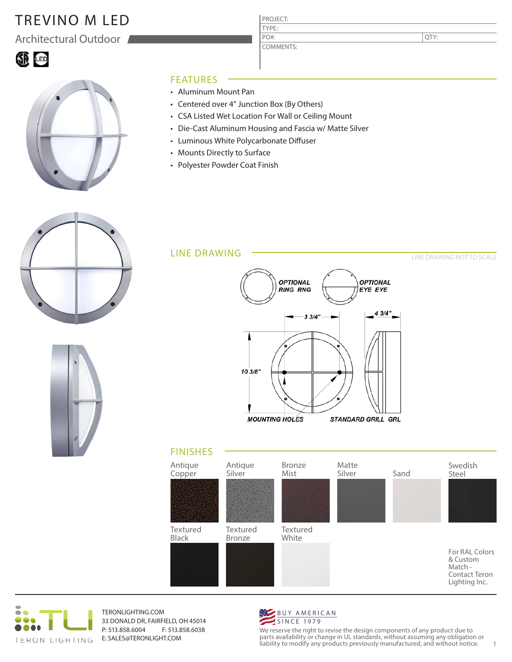# TREVINO M LED

Architectural Outdoor

### 60 G



#### FEATURES

- Aluminum Mount Pan
- Centered over 4" Junction Box (By Others)
- CSA Listed Wet Location For Wall or Ceiling Mount
- Die-Cast Aluminum Housing and Fascia w/ Matte Silver

PROJECT: TYPE:

PO#:

COMMENTS:

- Luminous White Polycarbonate Diffuser
- Mounts Directly to Surface
- Polyester Powder Coat Finish











TERONLIGHTING.COM 33 DONALD DR, FAIRFIELD, OH 45014 P: 513.858.6004 F: 513.858.6038 E: SALES@TERONLIGHT.COM



We reserve the right to revise the design components of any product due to parts availability or change in UL standards, without assuming any obligation or liability to modify any products previously manufactured, and without notice. 1

QTY:

LINE DRAWING NOT TO SCALE